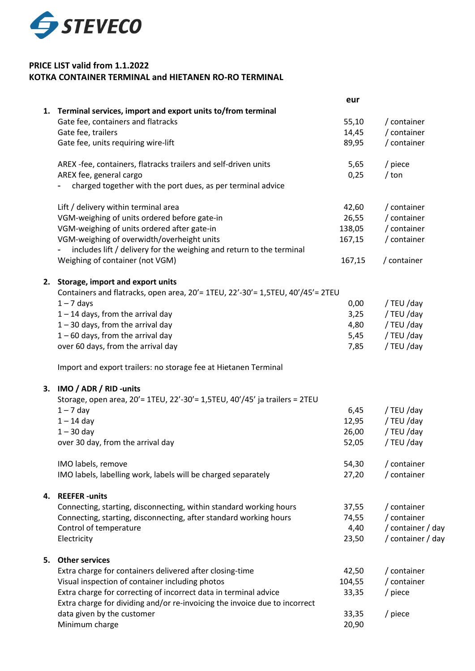

## **PRICE LIST valid from 1.1.2022 KOTKA CONTAINER TERMINAL and HIETANEN RO-RO TERMINAL**

|    |                                                                                | eur    |                   |
|----|--------------------------------------------------------------------------------|--------|-------------------|
|    | 1. Terminal services, import and export units to/from terminal                 |        |                   |
|    | Gate fee, containers and flatracks                                             | 55,10  | / container       |
|    | Gate fee, trailers                                                             | 14,45  | / container       |
|    | Gate fee, units requiring wire-lift                                            | 89,95  | / container       |
|    | AREX -fee, containers, flatracks trailers and self-driven units                | 5,65   | / piece           |
|    | AREX fee, general cargo                                                        | 0,25   | $/$ ton           |
|    | charged together with the port dues, as per terminal advice                    |        |                   |
|    | Lift / delivery within terminal area                                           | 42,60  | / container       |
|    | VGM-weighing of units ordered before gate-in                                   | 26,55  | / container       |
|    | VGM-weighing of units ordered after gate-in                                    | 138,05 | / container       |
|    | VGM-weighing of overwidth/overheight units                                     | 167,15 | / container       |
|    | includes lift / delivery for the weighing and return to the terminal           |        |                   |
|    | Weighing of container (not VGM)                                                | 167,15 | / container       |
|    | 2. Storage, import and export units                                            |        |                   |
|    | Containers and flatracks, open area, 20'= 1TEU, 22'-30'= 1,5TEU, 40'/45'= 2TEU |        |                   |
|    | $1 - 7$ days                                                                   | 0,00   | / TEU /day        |
|    | $1 - 14$ days, from the arrival day                                            | 3,25   | / TEU /day        |
|    | $1 - 30$ days, from the arrival day                                            | 4,80   | / TEU /day        |
|    | $1 - 60$ days, from the arrival day                                            | 5,45   | / TEU /day        |
|    | over 60 days, from the arrival day                                             | 7,85   | / TEU /day        |
|    | Import and export trailers: no storage fee at Hietanen Terminal                |        |                   |
|    | 3. IMO / ADR / RID -units                                                      |        |                   |
|    | Storage, open area, 20'= 1TEU, 22'-30'= 1,5TEU, 40'/45' ja trailers = 2TEU     |        |                   |
|    | $1 - 7$ day                                                                    | 6,45   | / TEU /day        |
|    | $1 - 14$ day                                                                   | 12,95  | / TEU /day        |
|    | $1 - 30$ day                                                                   | 26,00  | / TEU /day        |
|    | over 30 day, from the arrival day                                              | 52,05  | / TEU /day        |
|    | IMO labels, remove                                                             | 54,30  | / container       |
|    | IMO labels, labelling work, labels will be charged separately                  | 27,20  | / container       |
|    | 4. REEFER-units                                                                |        |                   |
|    | Connecting, starting, disconnecting, within standard working hours             | 37,55  | / container       |
|    | Connecting, starting, disconnecting, after standard working hours              | 74,55  | / container       |
|    | Control of temperature                                                         | 4,40   | / container / day |
|    | Electricity                                                                    | 23,50  | / container / day |
| 5. | <b>Other services</b>                                                          |        |                   |
|    | Extra charge for containers delivered after closing-time                       | 42,50  | / container       |
|    | Visual inspection of container including photos                                | 104,55 | / container       |
|    | Extra charge for correcting of incorrect data in terminal advice               | 33,35  | / piece           |
|    | Extra charge for dividing and/or re-invoicing the invoice due to incorrect     |        |                   |
|    | data given by the customer                                                     | 33,35  | / piece           |
|    | Minimum charge                                                                 | 20,90  |                   |
|    |                                                                                |        |                   |